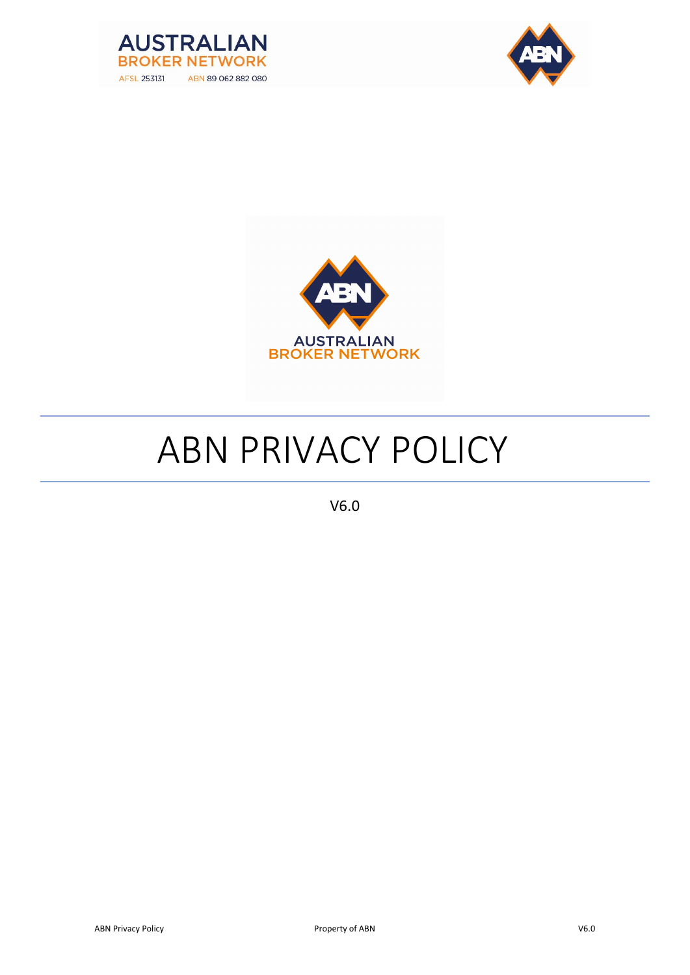





# ABN PRIVACY POLICY

V6.0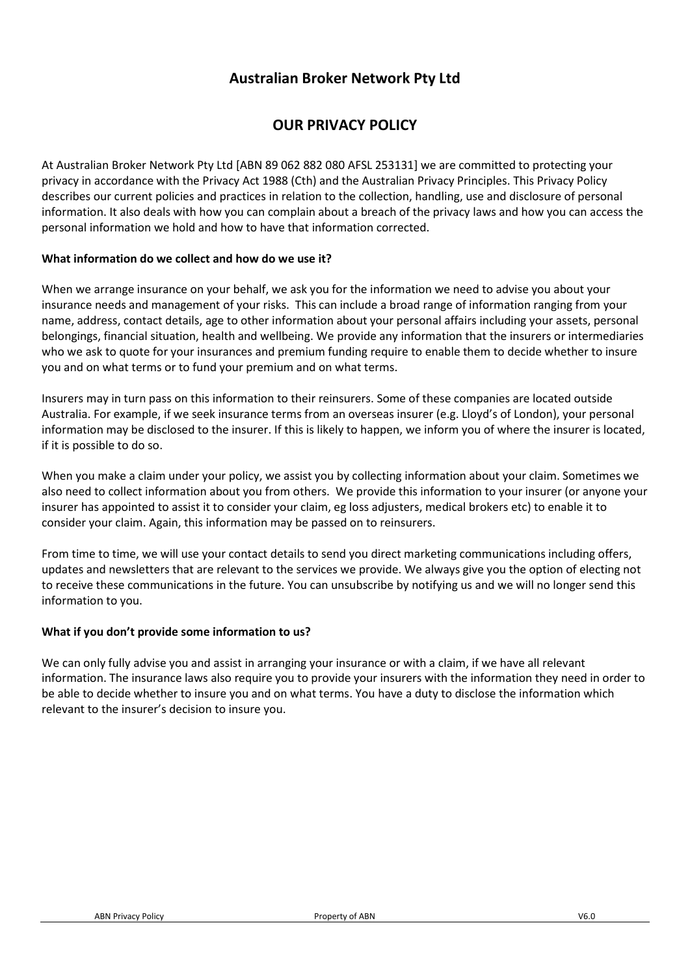# Australian Broker Network Pty Ltd

# OUR PRIVACY POLICY

At Australian Broker Network Pty Ltd [ABN 89 062 882 080 AFSL 253131] we are committed to protecting your privacy in accordance with the Privacy Act 1988 (Cth) and the Australian Privacy Principles. This Privacy Policy describes our current policies and practices in relation to the collection, handling, use and disclosure of personal information. It also deals with how you can complain about a breach of the privacy laws and how you can access the personal information we hold and how to have that information corrected.

## What information do we collect and how do we use it?

When we arrange insurance on your behalf, we ask you for the information we need to advise you about your insurance needs and management of your risks. This can include a broad range of information ranging from your name, address, contact details, age to other information about your personal affairs including your assets, personal belongings, financial situation, health and wellbeing. We provide any information that the insurers or intermediaries who we ask to quote for your insurances and premium funding require to enable them to decide whether to insure you and on what terms or to fund your premium and on what terms.

Insurers may in turn pass on this information to their reinsurers. Some of these companies are located outside Australia. For example, if we seek insurance terms from an overseas insurer (e.g. Lloyd's of London), your personal information may be disclosed to the insurer. If this is likely to happen, we inform you of where the insurer is located, if it is possible to do so.

When you make a claim under your policy, we assist you by collecting information about your claim. Sometimes we also need to collect information about you from others. We provide this information to your insurer (or anyone your insurer has appointed to assist it to consider your claim, eg loss adjusters, medical brokers etc) to enable it to consider your claim. Again, this information may be passed on to reinsurers.

From time to time, we will use your contact details to send you direct marketing communications including offers, updates and newsletters that are relevant to the services we provide. We always give you the option of electing not to receive these communications in the future. You can unsubscribe by notifying us and we will no longer send this information to you.

#### What if you don't provide some information to us?

We can only fully advise you and assist in arranging your insurance or with a claim, if we have all relevant information. The insurance laws also require you to provide your insurers with the information they need in order to be able to decide whether to insure you and on what terms. You have a duty to disclose the information which relevant to the insurer's decision to insure you.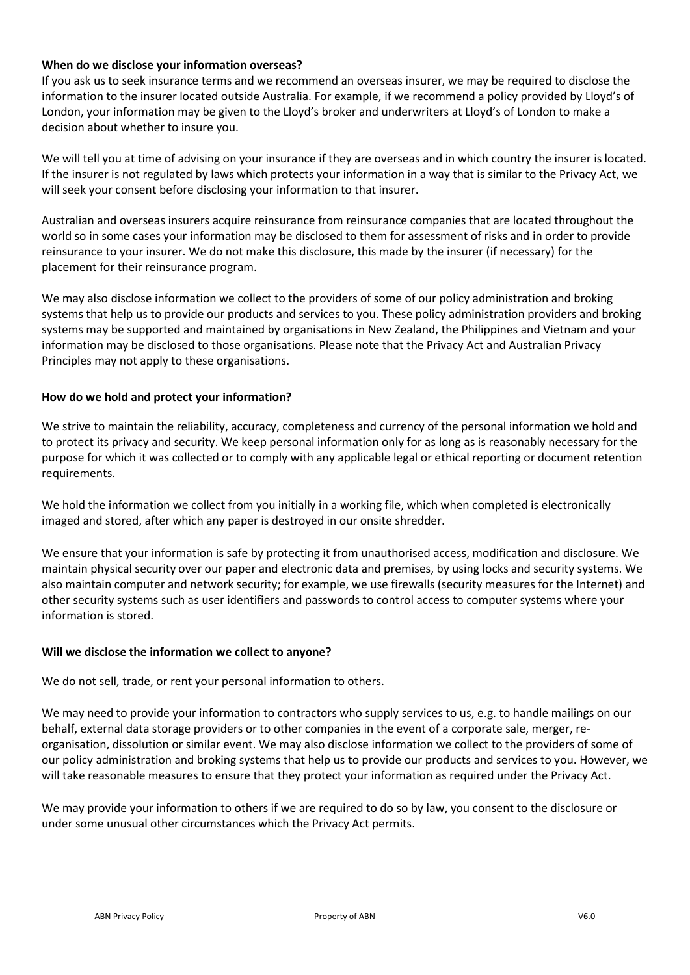## When do we disclose your information overseas?

If you ask us to seek insurance terms and we recommend an overseas insurer, we may be required to disclose the information to the insurer located outside Australia. For example, if we recommend a policy provided by Lloyd's of London, your information may be given to the Lloyd's broker and underwriters at Lloyd's of London to make a decision about whether to insure you.

We will tell you at time of advising on your insurance if they are overseas and in which country the insurer is located. If the insurer is not regulated by laws which protects your information in a way that is similar to the Privacy Act, we will seek your consent before disclosing your information to that insurer.

Australian and overseas insurers acquire reinsurance from reinsurance companies that are located throughout the world so in some cases your information may be disclosed to them for assessment of risks and in order to provide reinsurance to your insurer. We do not make this disclosure, this made by the insurer (if necessary) for the placement for their reinsurance program.

We may also disclose information we collect to the providers of some of our policy administration and broking systems that help us to provide our products and services to you. These policy administration providers and broking systems may be supported and maintained by organisations in New Zealand, the Philippines and Vietnam and your information may be disclosed to those organisations. Please note that the Privacy Act and Australian Privacy Principles may not apply to these organisations.

## How do we hold and protect your information?

We strive to maintain the reliability, accuracy, completeness and currency of the personal information we hold and to protect its privacy and security. We keep personal information only for as long as is reasonably necessary for the purpose for which it was collected or to comply with any applicable legal or ethical reporting or document retention requirements.

We hold the information we collect from you initially in a working file, which when completed is electronically imaged and stored, after which any paper is destroyed in our onsite shredder.

We ensure that your information is safe by protecting it from unauthorised access, modification and disclosure. We maintain physical security over our paper and electronic data and premises, by using locks and security systems. We also maintain computer and network security; for example, we use firewalls (security measures for the Internet) and other security systems such as user identifiers and passwords to control access to computer systems where your information is stored.

## Will we disclose the information we collect to anyone?

We do not sell, trade, or rent your personal information to others.

We may need to provide your information to contractors who supply services to us, e.g. to handle mailings on our behalf, external data storage providers or to other companies in the event of a corporate sale, merger, reorganisation, dissolution or similar event. We may also disclose information we collect to the providers of some of our policy administration and broking systems that help us to provide our products and services to you. However, we will take reasonable measures to ensure that they protect your information as required under the Privacy Act.

We may provide your information to others if we are required to do so by law, you consent to the disclosure or under some unusual other circumstances which the Privacy Act permits.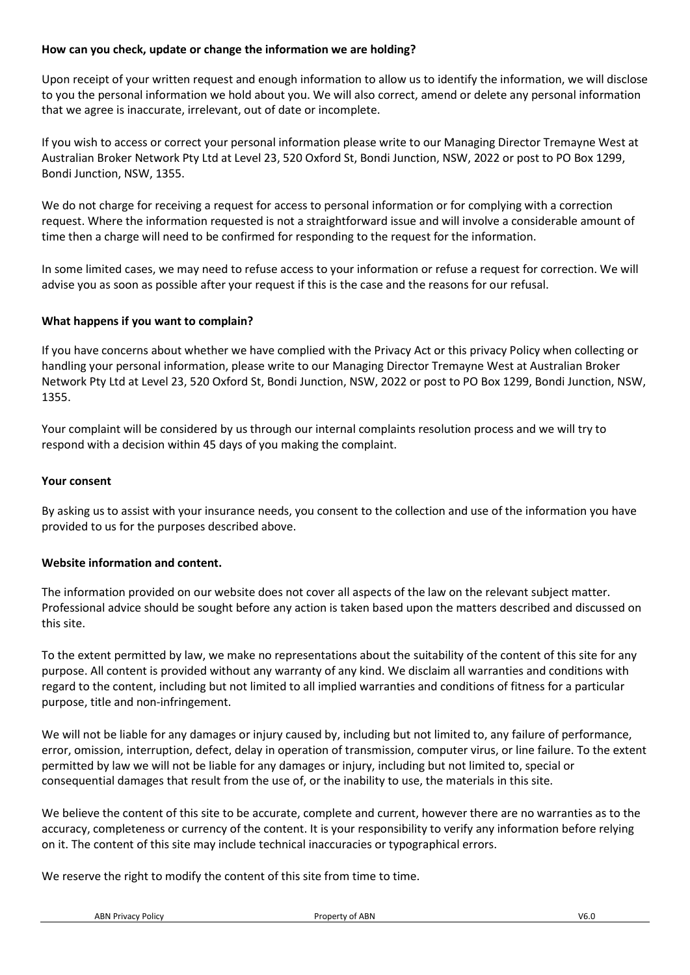## How can you check, update or change the information we are holding?

Upon receipt of your written request and enough information to allow us to identify the information, we will disclose to you the personal information we hold about you. We will also correct, amend or delete any personal information that we agree is inaccurate, irrelevant, out of date or incomplete.

If you wish to access or correct your personal information please write to our Managing Director Tremayne West at Australian Broker Network Pty Ltd at Level 23, 520 Oxford St, Bondi Junction, NSW, 2022 or post to PO Box 1299, Bondi Junction, NSW, 1355.

We do not charge for receiving a request for access to personal information or for complying with a correction request. Where the information requested is not a straightforward issue and will involve a considerable amount of time then a charge will need to be confirmed for responding to the request for the information.

In some limited cases, we may need to refuse access to your information or refuse a request for correction. We will advise you as soon as possible after your request if this is the case and the reasons for our refusal.

## What happens if you want to complain?

If you have concerns about whether we have complied with the Privacy Act or this privacy Policy when collecting or handling your personal information, please write to our Managing Director Tremayne West at Australian Broker Network Pty Ltd at Level 23, 520 Oxford St, Bondi Junction, NSW, 2022 or post to PO Box 1299, Bondi Junction, NSW, 1355.

Your complaint will be considered by us through our internal complaints resolution process and we will try to respond with a decision within 45 days of you making the complaint.

#### Your consent

By asking us to assist with your insurance needs, you consent to the collection and use of the information you have provided to us for the purposes described above.

### Website information and content.

The information provided on our website does not cover all aspects of the law on the relevant subject matter. Professional advice should be sought before any action is taken based upon the matters described and discussed on this site.

To the extent permitted by law, we make no representations about the suitability of the content of this site for any purpose. All content is provided without any warranty of any kind. We disclaim all warranties and conditions with regard to the content, including but not limited to all implied warranties and conditions of fitness for a particular purpose, title and non-infringement.

We will not be liable for any damages or injury caused by, including but not limited to, any failure of performance, error, omission, interruption, defect, delay in operation of transmission, computer virus, or line failure. To the extent permitted by law we will not be liable for any damages or injury, including but not limited to, special or consequential damages that result from the use of, or the inability to use, the materials in this site.

We believe the content of this site to be accurate, complete and current, however there are no warranties as to the accuracy, completeness or currency of the content. It is your responsibility to verify any information before relying on it. The content of this site may include technical inaccuracies or typographical errors.

We reserve the right to modify the content of this site from time to time.